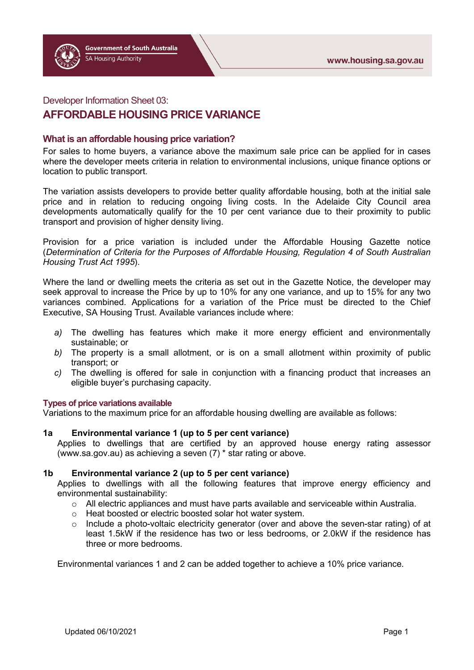## Developer Information Sheet 03:

## **AFFORDABLE HOUSING PRICE VARIANCE**

### **What is an affordable housing price variation?**

For sales to home buyers, a variance above the maximum sale price can be applied for in cases where the developer meets criteria in relation to environmental inclusions, unique finance options or location to public transport.

The variation assists developers to provide better quality affordable housing, both at the initial sale price and in relation to reducing ongoing living costs. In the Adelaide City Council area developments automatically qualify for the 10 per cent variance due to their proximity to public transport and provision of higher density living.

Provision for a price variation is included under the Affordable Housing Gazette notice (*Determination of Criteria for the Purposes of Affordable Housing, Regulation 4 of South Australian Housing Trust Act 1995*).

Where the land or dwelling meets the criteria as set out in the Gazette Notice, the developer may seek approval to increase the Price by up to 10% for any one variance, and up to 15% for any two variances combined. Applications for a variation of the Price must be directed to the Chief Executive, SA Housing Trust. Available variances include where:

- *a)* The dwelling has features which make it more energy efficient and environmentally sustainable; or
- *b)* The property is a small allotment, or is on a small allotment within proximity of public transport; or
- *c)* The dwelling is offered for sale in conjunction with a financing product that increases an eligible buyer's purchasing capacity.

#### **Types of price variations available**

Variations to the maximum price for an affordable housing dwelling are available as follows:

**1a Environmental variance 1 (up to 5 per cent variance)** Applies to dwellings that are certified by an approved house energy rating assessor [\(www.sa.gov.au\)](http://www.sa.gov.au/) as achieving a seven (7) \* star rating or above.

#### **1b Environmental variance 2 (up to 5 per cent variance)**

Applies to dwellings with all the following features that improve energy efficiency and environmental sustainability:

- o All electric appliances and must have parts available and serviceable within Australia.<br>
o Heat boosted or electric boosted solar hot water system.
- Heat boosted or electric boosted solar hot water system.
- o Include a photo-voltaic electricity generator (over and above the seven-star rating) of at least 1.5kW if the residence has two or less bedrooms, or 2.0kW if the residence has three or more bedrooms.

Environmental variances 1 and 2 can be added together to achieve a 10% price variance.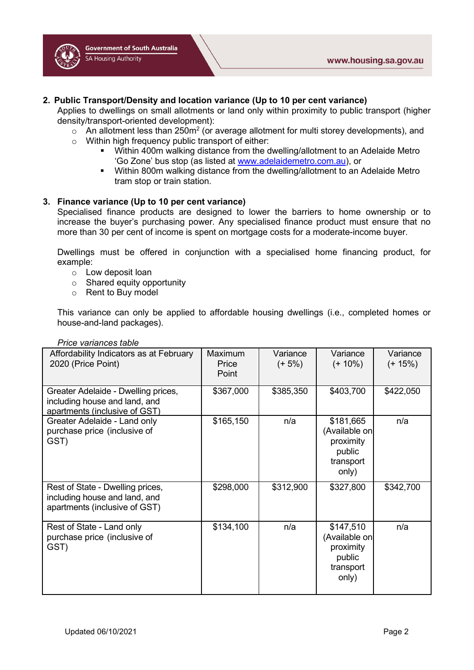

Applies to dwellings on small allotments or land only within proximity to public transport (higher density/transport-oriented development):

- $\circ$  An allotment less than 250m<sup>2</sup> (or average allotment for multi storey developments), and
- o Within high frequency public transport of either:
	- Within 400m walking distance from the dwelling/allotment to an Adelaide Metro 'Go Zone' bus stop (as listed at [www.adelaidemetro.com.au\)](http://www.adelaidemetro.com.au/), or
	- **Within 800m walking distance from the dwelling/allotment to an Adelaide Metro** tram stop or train station.

## **3. Finance variance (Up to 10 per cent variance)**

Specialised finance products are designed to lower the barriers to home ownership or to increase the buyer's purchasing power. Any specialised finance product must ensure that no more than 30 per cent of income is spent on mortgage costs for a moderate-income buyer.

Dwellings must be offered in conjunction with a specialised home financing product, for example:

- o Low deposit loan
- o Shared equity opportunity
- o Rent to Buy model

This variance can only be applied to affordable housing dwellings (i.e., completed homes or house-and-land packages).

| riillo vallalluos labio                                                                               |                           |                       |                                                                         |                       |
|-------------------------------------------------------------------------------------------------------|---------------------------|-----------------------|-------------------------------------------------------------------------|-----------------------|
| Affordability Indicators as at February<br>2020 (Price Point)                                         | Maximum<br>Price<br>Point | Variance<br>$(+ 5\%)$ | Variance<br>$(+ 10\%)$                                                  | Variance<br>$(+ 15%)$ |
| Greater Adelaide - Dwelling prices,<br>including house and land, and<br>apartments (inclusive of GST) | \$367,000                 | \$385,350             | \$403,700                                                               | \$422,050             |
| Greater Adelaide - Land only<br>purchase price (inclusive of<br>GST)                                  | \$165,150                 | n/a                   | \$181,665<br>(Available on<br>proximity<br>public<br>transport<br>only) | n/a                   |
| Rest of State - Dwelling prices,<br>including house and land, and<br>apartments (inclusive of GST)    | \$298,000                 | \$312,900             | \$327,800                                                               | \$342,700             |
| Rest of State - Land only<br>purchase price (inclusive of<br>GST)                                     | \$134,100                 | n/a                   | \$147,510<br>(Available on<br>proximity<br>public<br>transport<br>only) | n/a                   |

#### *Price variances table*